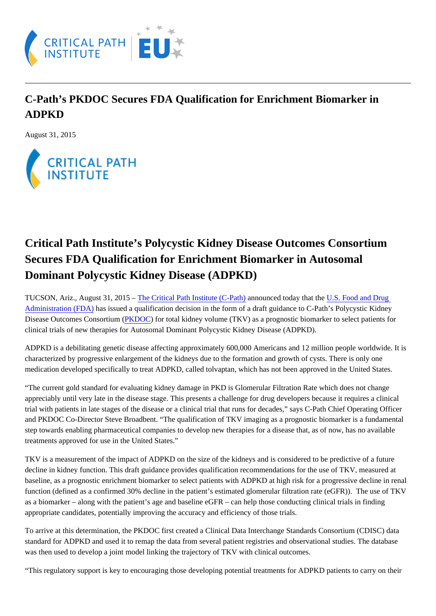## C-Path's PKDOC Secures FDA Qualification for Enrichment Biomarker in ADPKD

August 31, 2015

## Critical Path Institute's Polycystic Kidney Disease Outcomes Consortium Secures FDA Qualification for Enrichment Biomarker in Autosomal Dominant Polycystic Kidney Disease (ADPKD)

TUCSON,Ariz., August 31, 2015 The Critical Path Institute (C-Path) nounced today that the S. Food and Drug [Administration \(FDA\)](http://www.fda.gov/) has issued a qualification decision in the form of a draft guidance to C-Path's Polycystic Kidney Disease Outcomes Consortium (PHADOC) for total kidney volume (TKV) as a prognostic biomarker to select patients for clinical trials of new therapies for Autosomal Dominant Polycystic Kidney Disease (ADPKD).

ADPKD is a debilitating genetic disease affecting approximately 600,000 Americans and 12 million people worldwide. It is characterized by progressive enlargement of the kidneys due to the formation and growth of cysts. There is only one medication developed specifically to treat ADPKD, called tolvaptan, which has not been approved in the United States.

"The current gold standard for evaluating kidney damage in PKD is Glomerular Filtration Rate which does not change appreciably until very late in the disease stage. This presents a challenge for drug developers because it requires a clinic trial with patients in late stages of the disease or a clinical trial that runs for decades," says C-Path Chief Operating Officer and PKDOC Co-Director Steve Broadbent. "The qualification of TKV imaging as a prognostic biomarker is a fundamental step towards enabling pharmaceutical companies to develop new therapies for a disease that, as of now, has no availabl treatments approved for use in the United States."

TKV is a measurement of the impact of ADPKD on the size of the kidneys and is considered to be predictive of a future decline in kidney function. This draft guidance provides qualification recommendations for the use of TKV, measured at baseline, as a prognostic enrichment biomarker to select patients with ADPKD at high risk for a progressive decline in ren function (defined as a confirmed 30% decline in the patient's estimated glomerular filtration rate (eGFR)). The use of TKV as a biomarker – along with the patient's age and baseline eGFR – can help those conducting clinical trials in finding appropriate candidates, potentially improving the accuracy and efficiency of those trials.

To arrive at this determination, the PKDOC first created a Clinical Data Interchange Standards Consortium (CDISC) data standard for ADPKD and used it to remap the data from several patient registries and observational studies. The databas was then used to develop a joint model linking the trajectory of TKV with clinical outcomes.

"This regulatory support is key to encouraging those developing potential treatments for ADPKD patients to carry on their